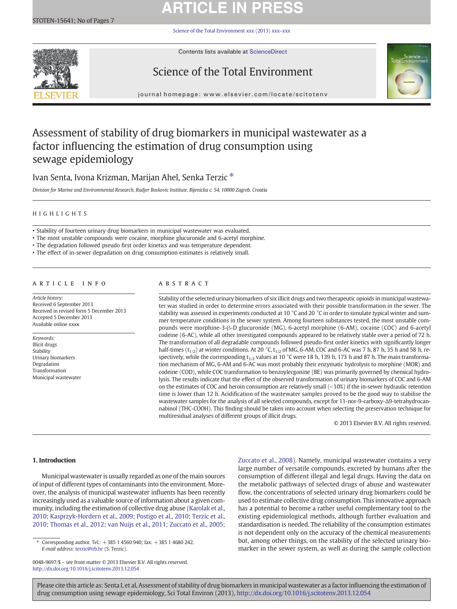# **ARTICLE IN PRESS**

[Science of the Total Environment xxx \(2013\) xxx](http://dx.doi.org/10.1016/j.scitotenv.2013.12.054)–xxx



Contents lists available at ScienceDirect

## Science of the Total Environment



journal homepage: www.elsevier.com/locate/scitotenv

## Assessment of stability of drug biomarkers in municipal wastewater as a factor influencing the estimation of drug consumption using sewage epidemiology

Ivan Senta, Ivona Krizman, Marijan Ahel, Senka Terzic  $*$ 

Division for Marine and Environmental Research, Rudjer Boskovic Institute, Bijenicka c. 54, 10000 Zagreb, Croatia

### HIGHLIGHTS

• Stability of fourteen urinary drug biomarkers in municipal wastewater was evaluated.

• The most unstable compounds were cocaine, morphine glucuronide and 6-acetyl morphine.

• The degradation followed pseudo first order kinetics and was temperature dependent.

• The effect of in-sewer degradation on drug consumption estimates is relatively small.

### article info abstract

Article history: Received 6 September 2013 Received in revised form 5 December 2013 Accepted 5 December 2013 Available online xxxx

Keywords: Illicit drugs Stability Urinary biomarkers Degradation Transformation Municipal wastewater

Stability of the selected urinary biomarkers of six illicit drugs and two therapeutic opioids in municipal wastewater was studied in order to determine errors associated with their possible transformation in the sewer. The stability was assessed in experiments conducted at 10 °C and 20 °C in order to simulate typical winter and summer temperature conditions in the sewer system. Among fourteen substances tested, the most unstable compounds were morphine-3-β-D glucuronide (MG), 6-acetyl morphine (6-AM), cocaine (COC) and 6-acetyl codeine (6-AC), while all other investigated compounds appeared to be relatively stable over a period of 72 h. The transformation of all degradable compounds followed pseudo-first order kinetics with significantly longer half-times ( $t_{1/2}$ ) at winter conditions. At 20 °C,  $t_{1/2}$  of MG, 6-AM, COC and 6-AC was 7 h, 87 h, 35 h and 58 h, respectively, while the corresponding  $t_{1/2}$  values at 10 °C were 18 h, 139 h, 173 h and 87 h. The main transformation mechanism of MG, 6-AM and 6-AC was most probably their enzymatic hydrolysis to morphine (MOR) and codeine (COD), while COC transformation to benzoylecgonine (BE) was primarily governed by chemical hydrolysis. The results indicate that the effect of the observed transformation of urinary biomarkers of COC and 6-AM on the estimates of COC and heroin consumption are relatively small  $($  < 10%) if the in-sewer hydraulic retention time is lower than 12 h. Acidification of the wastewater samples proved to be the good way to stabilise the wastewater samples for the analysis of all selected compounds, except for 11-nor-9-carboxy-Δ9-tetrahydrocannabinol (THC-COOH). This finding should be taken into account when selecting the preservation technique for multiresidual analyses of different groups of illicit drugs.

© 2013 Elsevier B.V. All rights reserved.

### 1. Introduction

Municipal wastewater is usually regarded as one of the main sources of input of different types of contaminants into the environment. Moreover, the analysis of municipal wastewater influents has been recently increasingly used as a valuable source of information about a given community, including the estimation of collective drug abuse ([Karolak et al.,](#page-5-0) [2010; Kasprzyk-Hordern et al., 2009; Postigo et al., 2010; Terzic et al.,](#page-5-0) [2010; Thomas et al., 2012; van Nuijs et al., 2011; Zuccato et al., 2005;](#page-5-0)

⁎ Corresponding author. Tel.: +385 1 4560 940; fax: +385 1 4680 242. E-mail address: [terzic@irb.hr](mailto:terzic@irb.hr) (S. Terzic).

0048-9697/\$ – see front matter © 2013 Elsevier B.V. All rights reserved. <http://dx.doi.org/10.1016/j.scitotenv.2013.12.054>

[Zuccato et al., 2008\)](#page-5-0). Namely, municipal wastewater contains a very large number of versatile compounds, excreted by humans after the consumption of different illegal and legal drugs. Having the data on the metabolic pathways of selected drugs of abuse and wastewater flow, the concentrations of selected urinary drug biomarkers could be used to estimate collective drug consumption. This innovative approach has a potential to become a rather useful complementary tool to the existing epidemiological methods, although further evaluation and standardisation is needed. The reliability of the consumption estimates is not dependent only on the accuracy of the chemical measurements but, among other things, on the stability of the selected urinary biomarker in the sewer system, as well as during the sample collection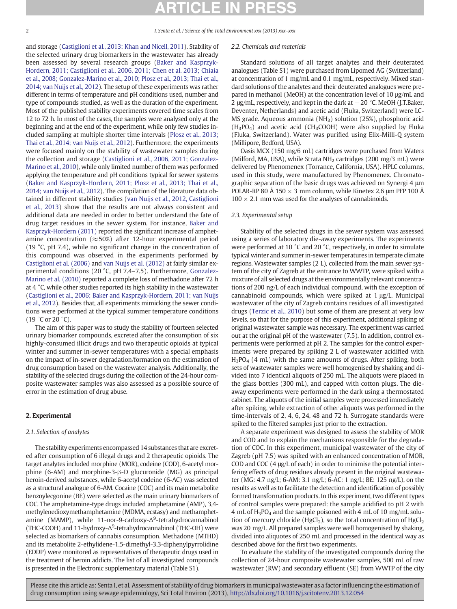<span id="page-1-0"></span>

and storage [\(Castiglioni et al., 2013; Khan and Nicell, 2011\)](#page-5-0). Stability of the selected urinary drug biomarkers in the wastewater has already been assessed by several research groups ([Baker and Kasprzyk-](#page-5-0)[Hordern, 2011; Castiglioni et al., 2006, 2011; Chen et al. 2013; Chiaia](#page-5-0) [et al., 2008; Gonzalez-Marino et al., 2010; Plosz et al., 2013; Thai et al.,](#page-5-0) [2014; van Nuijs et al., 2012\)](#page-5-0). The setup of these experiments was rather different in terms of temperature and pH conditions used, number and type of compounds studied, as well as the duration of the experiment. Most of the published stability experiments covered time scales from 12 to 72 h. In most of the cases, the samples were analysed only at the beginning and at the end of the experiment, while only few studies included sampling at multiple shorter time intervals ([Plosz et al., 2013;](#page-5-0) [Thai et al., 2014; van Nuijs et al., 2012\)](#page-5-0). Furthermore, the experiments were focused mainly on the stability of wastewater samples during the collection and storage ([Castiglioni et al., 2006, 2011; Gonzalez-](#page-5-0)[Marino et al., 2010](#page-5-0)), while only limited number of them was performed applying the temperature and pH conditions typical for sewer systems [\(Baker and Kasprzyk-Hordern, 2011; Plosz et al., 2013; Thai et al.,](#page-5-0) [2014; van Nuijs et al., 2012](#page-5-0)). The compilation of the literature data obtained in different stability studies ([van Nuijs et al., 2012, Castiglioni](#page-6-0) [et al., 2013\)](#page-6-0) show that the results are not always consistent and additional data are needed in order to better understand the fate of drug target residues in the sewer system. For instance, [Baker and](#page-5-0) [Kasprzyk-Hordern \(2011\)](#page-5-0) reported the significant increase of amphetamine concentration ( $\approx$  50%) after 12-hour experimental period (19 °C, pH 7.4), while no significant change in the concentration of this compound was observed in the experiments performed by [Castiglioni et al. \(2006\)](#page-5-0) and [van Nuijs et al. \(2012\)](#page-6-0) at fairly similar experimental conditions (20 °C, pH 7.4–7.5). Furthermore, [Gonzalez-](#page-5-0)[Marino et al. \(2010\)](#page-5-0) reported a complete loss of methadone after 72 h at 4 °C, while other studies reported its high stability in the wastewater [\(Castiglioni et al., 2006; Baker and Kasprzyk-Hordern, 2011; van Nuijs](#page-5-0) [et al., 2012\)](#page-5-0). Besides that, all experiments mimicking the sewer conditions were performed at the typical summer temperature conditions (19 °C or 20 °C).

The aim of this paper was to study the stability of fourteen selected urinary biomarker compounds, excreted after the consumption of six highly-consumed illicit drugs and two therapeutic opioids at typical winter and summer in-sewer temperatures with a special emphasis on the impact of in-sewer degradation/formation on the estimation of drug consumption based on the wastewater analysis. Additionally, the stability of the selected drugs during the collection of the 24-hour composite wastewater samples was also assessed as a possible source of error in the estimation of drug abuse.

### 2. Experimental

### 2.1. Selection of analytes

The stability experiments encompassed 14 substances that are excreted after consumption of 6 illegal drugs and 2 therapeutic opioids. The target analytes included morphine (MOR), codeine (COD), 6-acetyl morphine (6-AM) and morphine-3-β-D glucuronide (MG) as principal heroin-derived substances, while 6-acetyl codeine (6-AC) was selected as a structural analogue of 6-AM. Cocaine (COC) and its main metabolite benzoylecgonine (BE) were selected as the main urinary biomarkers of COC. The amphetamine-type drugs included amphetamine (AMP), 3,4 methylenedioxymethamphetamine (MDMA, ecstasy) and methamphetamine (MAMP), while 11-nor-9-carboxy-Δ<sup>9</sup>-tetrahydrocannabinol (THC-COOH) and 11-hydroxy-Δ<sup>9</sup>-tetrahydrocannabinol (THC-OH) were selected as biomarkers of cannabis consumption. Methadone (MTHD) and its metabolite 2-ethylidene-1,5-dimethyl-3,3-diphenylpyrrolidine (EDDP) were monitored as representatives of therapeutic drugs used in the treatment of heroin addicts. The list of all investigated compounds is presented in the Electronic supplementary material (Table S1).

### 2.2. Chemicals and materials

Standard solutions of all target analytes and their deuterated analogues (Table S1) were purchased from Lipomed AG (Switzerland) at concentration of 1 mg/mL and 0.1 mg/mL, respectively. Mixed standard solutions of the analytes and their deuterated analogues were prepared in methanol (MeOH) at the concentration level of 10 μg/mL and 2 μg/mL, respectively, and kept in the dark at −20 °C. MeOH (J.T.Baker, Deventer, Netherlands) and acetic acid (Fluka, Switzerland) were LC-MS grade. Aqueous ammonia (NH<sub>3</sub>) solution (25%), phosphoric acid  $(H_3PO_4)$  and acetic acid (CH<sub>3</sub>COOH) were also supplied by Fluka (Fluka, Switzerland). Water was purified using Elix-Milli-Q system (Millipore, Bedford, USA).

Oasis MCX (150 mg/6 mL) cartridges were purchased from Waters (Milford, MA, USA), while Strata  $NH<sub>2</sub>$  cartridges (200 mg/3 mL) were delivered by Phenomenex (Torrance, California, USA). HPLC columns, used in this study, were manufactured by Phenomenex. Chromatographic separation of the basic drugs was achieved on Synergi 4 μm POLAR-RP 80 Å 150  $\times$  3 mm column, while Kinetex 2.6 µm PFP 100 Å  $100 \times 2.1$  mm was used for the analyses of cannabinoids.

### 2.3. Experimental setup

Stability of the selected drugs in the sewer system was assessed using a series of laboratory die-away experiments. The experiments were performed at 10 °C and 20 °C, respectively, in order to simulate typical winter and summer in-sewer temperatures in temperate climate regions. Wastewater samples (2 L), collected from the main sewer system of the city of Zagreb at the entrance to WWTP, were spiked with a mixture of all selected drugs at the environmentally relevant concentrations of 200 ng/L of each individual compound, with the exception of cannabinoid compounds, which were spiked at 1 μg/L. Municipal wastewater of the city of Zagreb contains residues of all investigated drugs [\(Terzic et al., 2010](#page-6-0)) but some of them are present at very low levels, so that for the purpose of this experiment, additional spiking of original wastewater sample was necessary. The experiment was carried out at the original pH of the wastewater (7.5). In addition, control experiments were performed at pH 2. The samples for the control experiments were prepared by spiking 2 L of wastewater acidified with  $H_3PO_4$  (4 mL) with the same amounts of drugs. After spiking, both sets of wastewater samples were well homogenised by shaking and divided into 7 identical aliquots of 250 mL. The aliquots were placed in the glass bottles (300 mL), and capped with cotton plugs. The dieaway experiments were performed in the dark using a thermostated cabinet. The aliquots of the initial samples were processed immediately after spiking, while extraction of other aliquots was performed in the time-intervals of 2, 4, 6, 24, 48 and 72 h. Surrogate standards were spiked to the filtered samples just prior to the extraction.

A separate experiment was designed to assess the stability of MOR and COD and to explain the mechanisms responsible for the degradation of COC. In this experiment, municipal wastewater of the city of Zagreb (pH 7.5) was spiked with an enhanced concentration of MOR, COD and COC (4 μg/L of each) in order to minimise the potential interfering effects of drug residues already present in the original wastewater (MG: 4.7 ng/L; 6-AM: 3.1 ng/L; 6-AC: 1 ng/L; BE: 125 ng/L), on the results as well as to facilitate the detection and identification of possibly formed transformation products. In this experiment, two different types of control samples were prepared: the sample acidified to pH 2 with 4 mL of  $H_3PO_4$  and the sample poisoned with 4 mL of 10 mg/mL solution of mercury chloride (HgCl<sub>2</sub>), so the total concentration of HgCl<sub>2</sub> was 20 mg/L. All prepared samples were well homogenised by shaking, divided into aliquotes of 250 mL and processed in the identical way as described above for the first two experiments.

To evaluate the stability of the investigated compounds during the collection of 24-hour composite wastewater samples, 500 mL of raw wastewater (RW) and secondary effluent (SE) from WWTP of the city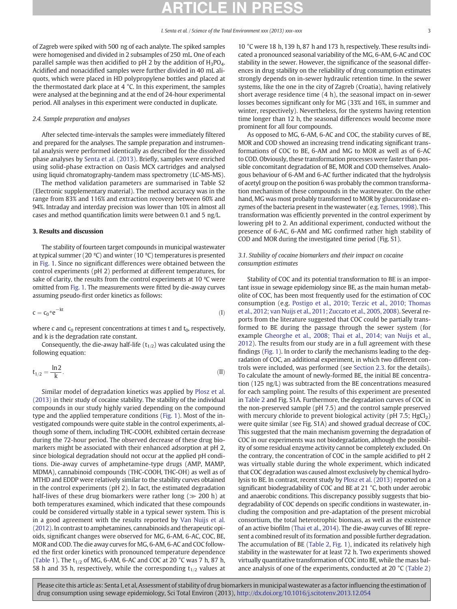of Zagreb were spiked with 500 ng of each analyte. The spiked samples were homogenised and divided in 2 subsamples of 250 mL. One of each parallel sample was then acidified to pH 2 by the addition of  $H_3PO_4$ . Acidified and nonacidified samples were further divided in 40 mL aliquots, which were placed in HD polypropylene bottles and placed at the thermostated dark place at 4 °C. In this experiment, the samples were analysed at the beginning and at the end of 24-hour experimental period. All analyses in this experiment were conducted in duplicate.

### 2.4. Sample preparation and analyses

After selected time-intervals the samples were immediately filtered and prepared for the analyses. The sample preparation and instrumental analysis were performed identically as described for the dissolved phase analyses by [Senta et al. \(2013\)](#page-6-0). Briefly, samples were enriched using solid-phase extraction on Oasis MCX cartridges and analysed using liquid chromatography-tandem mass spectrometry (LC-MS-MS).

The method validation parameters are summarised in Table S2 (Electronic supplementary material). The method accuracy was in the range from 83% and 116% and extraction recovery between 60% and 94%. Intraday and interday precision was lower than 10% in almost all cases and method quantification limits were between 0.1 and 5 ng/L.

### 3. Results and discussion

The stability of fourteen target compounds in municipal wastewater at typical summer (20 ºC) and winter (10 ºC) temperatures is presented in [Fig. 1.](#page-3-0) Since no significant differences were obtained between the control experiments (pH 2) performed at different temperatures, for sake of clarity, the results from the control experiments at 10 °C were omitted from [Fig. 1](#page-3-0). The measurements were fitted by die-away curves assuming pseudo-first order kinetics as follows:

$$
c = c_0 * e^{-kt} \tag{I}
$$

where c and  $c_0$  represent concentrations at times t and  $t_0$ , respectively, and k is the degradation rate constant.

Consequently, the die-away half-life  $(t_{1/2})$  was calculated using the following equation:

$$
t_{1/2} = \frac{\ln 2}{k}.\tag{II}
$$

Similar model of degradation kinetics was applied by [Plosz et al.](#page-5-0) [\(2013\)](#page-5-0) in their study of cocaine stability. The stability of the individual compounds in our study highly varied depending on the compound type and the applied temperature conditions [\(Fig. 1\)](#page-3-0). Most of the investigated compounds were quite stable in the control experiments, although some of them, including THC-COOH, exhibited certain decrease during the 72-hour period. The observed decrease of these drug biomarkers might be associated with their enhanced adsorption at pH 2, since biological degradation should not occur at the applied pH conditions. Die-away curves of amphetamine-type drugs (AMP, MAMP, MDMA), cannabinoid compounds (THC-COOH, THC-OH) as well as of MTHD and EDDP were relatively similar to the stability curves obtained in the control experiments (pH 2). In fact, the estimated degradation half-lives of these drug biomarkers were rather long ( $\gg$  200 h) at both temperatures examined, which indicated that these compounds could be considered virtually stable in a typical sewer system. This is in a good agreement with the results reported by [Van Nuijs et al.](#page-6-0) [\(2012\)](#page-6-0). In contrast to amphetamines, cannabinoids and therapeutic opioids, significant changes were observed for MG, 6-AM, 6-AC, COC, BE, MOR and COD. The die away curves for MG, 6-AM, 6-AC and COC followed the first order kinetics with pronounced temperature dependence [\(Table 1](#page-4-0)). The  $t_{1/2}$  of MG, 6-AM, 6-AC and COC at 20 °C was 7 h, 87 h, 58 h and 35 h, respectively, while the corresponding  $t_{1/2}$  values at 10 °C were 18 h, 139 h, 87 h and 173 h, respectively. These results indicated a pronounced seasonal variability of the MG, 6-AM, 6-AC and COC stability in the sewer. However, the significance of the seasonal differences in drug stability on the reliability of drug consumption estimates strongly depends on in-sewer hydraulic retention time. In the sewer systems, like the one in the city of Zagreb (Croatia), having relatively short average residence time (4 h), the seasonal impact on in-sewer losses becomes significant only for MG (33% and 16%, in summer and winter, respectively). Nevertheless, for the systems having retention time longer than 12 h, the seasonal differences would become more prominent for all four compounds.

As opposed to MG, 6-AM, 6-AC and COC, the stability curves of BE, MOR and COD showed an increasing trend indicating significant transformations of COC to BE, 6-AM and MG to MOR as well as of 6-AC to COD. Obviously, these transformation processes were faster than possible concomitant degradation of BE, MOR and COD themselves. Analogous behaviour of 6-AM and 6-AC further indicated that the hydrolysis of acetyl group on the position 6 was probably the common transformation mechanism of these compounds in the wastewater. On the other hand, MG was most probably transformed to MOR by glucuronidase enzymes of the bacteria present in the wastewater (e.g. [Ternes, 1998](#page-6-0)). This transformation was efficiently prevented in the control experiment by lowering pH to 2. An additional experiment, conducted without the presence of 6-AC, 6-AM and MG confirmed rather high stability of COD and MOR during the investigated time period (Fig. S1).

### 3.1. Stability of cocaine biomarkers and their impact on cocaine consumption estimates

Stability of COC and its potential transformation to BE is an important issue in sewage epidemiology since BE, as the main human metabolite of COC, has been most frequently used for the estimation of COC consumption (e.g. [Postigo et al., 2010; Terzic et al., 2010; Thomas](#page-5-0) [et al., 2012; van Nuijs et al., 2011; Zuccato et al., 2005, 2008\)](#page-5-0). Several reports from the literature suggested that COC could be partially transformed to BE during the passage through the sewer system (for example [Gheorghe et al., 2008; Thai et al., 2014; van Nuijs et al.,](#page-5-0) [2012\)](#page-5-0). The results from our study are in a full agreement with these findings ([Fig. 1](#page-3-0)). In order to clarify the mechanisms leading to the degradation of COC, an additional experiment, in which two different controls were included, was performed (see [Section 2.3](#page-1-0). for the details). To calculate the amount of newly-formed BE, the initial BE concentration (125 ng/L) was subtracted from the BE concentrations measured for each sampling point. The results of this experiment are presented in [Table 2](#page-4-0) and Fig. S1A. Furthermore, the degradation curves of COC in the non-preserved sample (pH 7.5) and the control sample preserved with mercury chloride to prevent biological activity ( $pH$  7.5; HgCl<sub>2</sub>) were quite similar (see Fig. S1A) and showed gradual decrease of COC. This suggested that the main mechanism governing the degradation of COC in our experiments was not biodegradation, although the possibility of some residual enzyme activity cannot be completely excluded. On the contrary, the concentration of COC in the sample acidified to pH 2 was virtually stable during the whole experiment, which indicated that COC degradation was caused almost exclusively by chemical hydrolysis to BE. In contrast, recent study by [Plosz et al. \(2013\)](#page-5-0) reported on a significant biodegradability of COC and BE at 21 °C, both under aerobic and anaerobic conditions. This discrepancy possibly suggests that biodegradability of COC depends on specific conditions in wastewater, including the composition and pre-adaptation of the present microbial consortium, the total heterotrophic biomass, as well as the existence of an active biofilm [\(Thai et al., 2014](#page-6-0)). The die-away curves of BE represent a combined result of its formation and possible further degradation. The accumulation of BE ([Table 2](#page-4-0), [Fig. 1](#page-3-0)), indicated its relatively high stability in the wastewater for at least 72 h. Two experiments showed virtually quantitative transformation of COC into BE, while the mass balance analysis of one of the experiments, conducted at 20 °C ([Table 2](#page-4-0))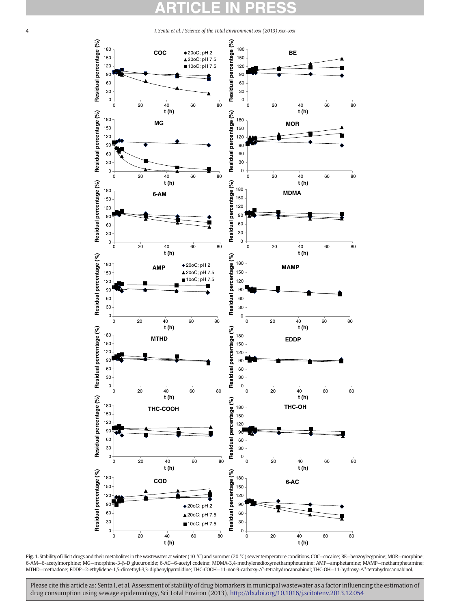<span id="page-3-0"></span>

Fig. 1. Stability of illicit drugs and their metabolites in the wastewater at winter (10 °C) and summer (20 °C) sewer temperature conditions. COC-cocaine; BE-benzoylecgonine; MOR-morphine; 6-AM—6-acetylmorphine; MG—morphine-3-β-D glucuronide; 6-AC—6-acetyl codeine; MDMA-3,4-methylenedioxymethamphetamine; AMP—amphetamine; MAMP—methamphetamine; MTHD–methadone; EDDP–2-ethylidene-1,5-dimethyl-3,3-diphenylpyrrolidine; THC-COOH–11-nor-9-carboxy-Δ<sup>9</sup>-tetrahydrocannabinol; THC-OH–11-hydroxy-Δ<sup>9</sup>-tetrahydrocannabinol.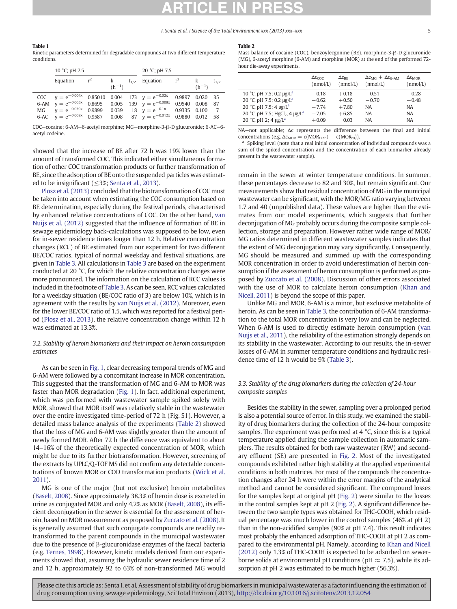### <span id="page-4-0"></span>Table 1

Kinetic parameters determined for degradable compounds at two different temperature conditions.

|     | 10 °C; pH 7.5          |        |            | 20 °C; pH 7.5 |                                    |              |            |           |
|-----|------------------------|--------|------------|---------------|------------------------------------|--------------|------------|-----------|
|     | Equation               |        | $(h^{-1})$ | $t_{1/2}$     | Equation                           |              | $(h^{-1})$ | $t_{1/2}$ |
| COC | $y = e^{-0.004x}$      |        |            |               | 0.85010 0.004 173 $y = e^{-0.02x}$ | 0.9897       | 0.020      | 35        |
|     | 6-AM $y = e^{-0.005x}$ |        |            |               | 0.8695 0.005 139 $y = e^{-0.008x}$ | 0.9540 0.008 |            | - 87      |
| MG  | $v = e^{-0.039x}$      | 0.9899 | 0.039      |               | 18 $y = e^{-0.1x}$                 | 0.9335 0.100 |            |           |
|     | 6-AC $v = e^{-0.008x}$ | 0.9587 |            |               | 0.008 87 $v = e^{-0.012x}$         | 0.9880       | 0.012      | - 58      |
|     |                        |        |            |               |                                    |              |            |           |

COC—cocaine; 6-AM—6-acetyl morphine; MG—morphine-3-β-D glucuronide; 6-AC—6 acetyl codeine.

showed that the increase of BE after 72 h was 19% lower than the amount of transformed COC. This indicated either simultaneous formation of other COC transformation products or further transformation of BE, since the adsorption of BE onto the suspended particles was estimated to be insignificant ( $\leq$ 3%; [Senta et al., 2013\)](#page-6-0).

[Plosz et al. \(2013\)](#page-5-0) concluded that the biotransformation of COC must be taken into account when estimating the COC consumption based on BE determination, especially during the festival periods, characterised by enhanced relative concentrations of COC. On the other hand, [van](#page-6-0) [Nuijs et al. \(2012\)](#page-6-0) suggested that the influence of formation of BE in sewage epidemiology back-calculations was supposed to be low, even for in-sewer residence times longer than 12 h. Relative concentration changes (RCC) of BE estimated from our experiment for two different BE/COC ratios, typical of normal weekday and festival situations, are given in [Table 3.](#page-5-0) All calculations in [Table 3](#page-5-0) are based on the experiment conducted at 20 °C, for which the relative concentration changes were more pronounced. The information on the calculation of RCC values is included in the footnote of [Table 3](#page-5-0). As can be seen, RCC values calculated for a weekday situation (BE/COC ratio of 3) are below 10%, which is in agreement with the results by [van Nuijs et al. \(2012\)](#page-6-0). Moreover, even for the lower BE/COC ratio of 1.5, which was reported for a festival period ([Plosz et al., 2013](#page-5-0)), the relative concentration change within 12 h was estimated at 13.3%.

### 3.2. Stability of heroin biomarkers and their impact on heroin consumption estimates

As can be seen in [Fig. 1](#page-3-0), clear decreasing temporal trends of MG and 6-AM were followed by a concomitant increase in MOR concentration. This suggested that the transformation of MG and 6-AM to MOR was faster than MOR degradation [\(Fig. 1\)](#page-3-0). In fact, additional experiment, which was performed with wastewater sample spiked solely with MOR, showed that MOR itself was relatively stable in the wastewater over the entire investigated time-period of 72 h (Fig. S1). However, a detailed mass balance analysis of the experiments (Table 2) showed that the loss of MG and 6-AM was slightly greater than the amount of newly formed MOR. After 72 h the difference was equivalent to about 14–16% of the theoretically expected concentration of MOR, which might be due to its further biotransformation. However, screening of the extracts by UPLC/Q-TOF MS did not confirm any detectable concentrations of known MOR or COD transformation products ([Wick et al.](#page-6-0) [2011](#page-6-0)).

MG is one of the major (but not exclusive) heroin metabolites [\(Baselt, 2008\)](#page-5-0). Since approximately 38.3% of heroin dose is excreted in urine as conjugated MOR and only 4.2% as MOR [\(Baselt, 2008](#page-5-0)), its efficient deconjugation in the sewer is essential for the assessment of heroin, based on MOR measurement as proposed by [Zuccato et al. \(2008\)](#page-6-0). It is generally assumed that such conjugate compounds are readily retransformed to the parent compounds in the municipal wastewater due to the presence of β-glucuronidase enzymes of the faecal bacteria (e.g. [Ternes, 1998\)](#page-6-0). However, kinetic models derived from our experiments showed that, assuming the hydraulic sewer residence time of 2 and 12 h, approximately 92 to 63% of non-transformed MG would

### Table 2

Mass balance of cocaine (COC), benzoylecgonine (BE), morphine-3-β-D glucuronide (MG), 6-acetyl morphine (6-AM) and morphine (MOR) at the end of the performed 72 hour die-away experiments.

|                                                        | $\Delta c_{\text{CDC}}$ | $\Delta c_{\rm RF}$ | $\Delta c_{MC} + \Delta c_{G-AM}$ | $\Delta c_{MOR}$ |
|--------------------------------------------------------|-------------------------|---------------------|-----------------------------------|------------------|
|                                                        | (nmol/L)                | (nmol/L)            | (mmol/L)                          | (nmol/L)         |
| 10 °C, pH 7.5; 0.2 $\mu$ g/L <sup>a</sup>              | $-0.18$                 | $+0.18$             | $-0.51$                           | $+0.28$          |
| 20 °C, pH 7.5; 0.2 µg/L <sup>a</sup>                   | $-0.62$                 | $+0.50$             | $-0.70$                           | $+0.48$          |
| 20 °C, pH 7.5; 4 $\mu$ g/L <sup>a</sup>                | $-774$                  | $+7.80$             | <b>NA</b>                         | <b>NA</b>        |
| 20 °C, pH 7.5; HgCl <sub>2</sub> , 4 μg/L <sup>a</sup> | $-7.05$                 | $+6.85$             | <b>NA</b>                         | <b>NA</b>        |
| 20 °C, pH 2; 4 $\mu$ g/L <sup>a</sup>                  | $+0.09$                 | 0.03                | <b>NA</b>                         | <b>NA</b>        |

NA—not applicable; Δc represents the difference between the final and initial concentrations (e.g.  $\Delta c_{MOR} = c(MOR_{t72h}) - c(MOR_{t0})$ ).<br><sup>a</sup> Spiking level (note that a real initial concentration of individual compounds was a

sum of the spiked concentration and the concentration of each biomarker already present in the wastewater sample).

remain in the sewer at winter temperature conditions. In summer, these percentages decrease to 82 and 30%, but remain significant. Our measurements show that residual concentration of MG in the municipal wastewater can be significant, with the MOR/MG ratio varying between 1.7 and 40 (unpublished data). These values are higher than the estimates from our model experiments, which suggests that further deconjugation of MG probably occurs during the composite sample collection, storage and preparation. However rather wide range of MOR/ MG ratios determined in different wastewater samples indicates that the extent of MG deconjugation may vary significantly. Consequently, MG should be measured and summed up with the corresponding MOR concentration in order to avoid underestimation of heroin consumption if the assessment of heroin consumption is performed as proposed by [Zuccato et al. \(2008\)](#page-6-0). Discussion of other errors associated with the use of MOR to calculate heroin consumption [\(Khan and](#page-5-0) [Nicell, 2011](#page-5-0)) is beyond the scope of this paper.

Unlike MG and MOR, 6-AM is a minor, but exclusive metabolite of heroin. As can be seen in [Table 3](#page-5-0), the contribution of 6-AM transformation to the total MOR concentration is very low and can be neglected. When 6-AM is used to directly estimate heroin consumption [\(van](#page-6-0) [Nuijs et al., 2011\)](#page-6-0), the reliability of the estimation strongly depends on its stability in the wastewater. According to our results, the in-sewer losses of 6-AM in summer temperature conditions and hydraulic residence time of 12 h would be 9% ([Table 3](#page-5-0)).

### 3.3. Stability of the drug biomarkers during the collection of 24-hour composite samples

Besides the stability in the sewer, sampling over a prolonged period is also a potential source of error. In this study, we examined the stability of drug biomarkers during the collection of the 24-hour composite samples. The experiment was performed at 4 °C, since this is a typical temperature applied during the sample collection in automatic samplers. The results obtained for both raw wastewater (RW) and secondary effluent (SE) are presented in [Fig. 2](#page-5-0). Most of the investigated compounds exhibited rather high stability at the applied experimental conditions in both matrices. For most of the compounds the concentration changes after 24 h were within the error margins of the analytical method and cannot be considered significant. The compound losses for the samples kept at original pH [\(Fig. 2\)](#page-5-0) were similar to the losses in the control samples kept at pH 2 ([Fig. 2](#page-5-0)). A significant difference between the two sample types was obtained for THC-COOH, which residual percentage was much lower in the control samples (46% at pH 2) than in the non-acidified samples (90% at pH 7.4). This result indicates most probably the enhanced adsorption of THC-COOH at pH 2 as compared to the environmental pH. Namely, according to [Khan and Nicell](#page-5-0) [\(2012\)](#page-5-0) only 1.3% of THC-COOH is expected to be adsorbed on sewerborne solids at environmental pH conditions (pH  $\approx$  7.5), while its adsorption at pH 2 was estimated to be much higher (56.3%).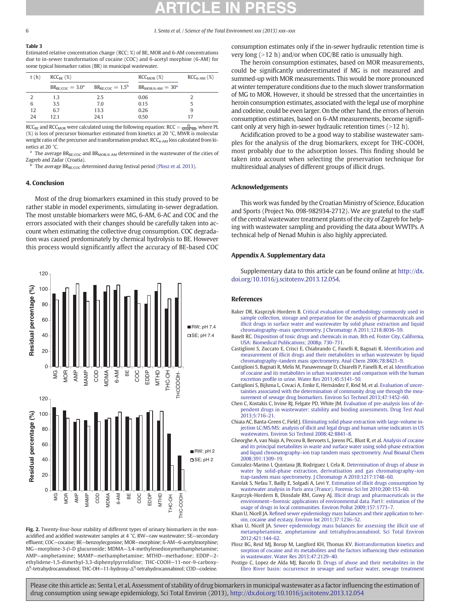### <span id="page-5-0"></span>Table 3

Estimated relative concentration change (RCC; %) of BE, MOR and 6-AM concentrations due to in-sewer transformation of cocaine (COC) and 6-acetyl morphine (6-AM) for some typical biomarker ratios (BR) in municipal wastewater.

| t(h) | $RCC_{BF}$ (%)       |                       | $RCCMOR$ (%)          | $RCC_{6-AM}$ (%) |
|------|----------------------|-----------------------|-----------------------|------------------|
|      | $BR_{BE/COC} = 3.0a$ | $BR_{BE/COC} = 1.5^b$ | $BR_{MOR/6-AM} = 30d$ |                  |
|      | 1.3                  | 2.5                   | 0.06                  |                  |
| 6    | 3.5                  | 7.0                   | 0.15                  |                  |
| 12   | 6.7                  | 13.3                  | 0.26                  | 9                |
| 24   | 12.1                 | 24.1                  | 0.50                  |                  |

 $RCC_{BE}$  and  $RCC_{MOR}$  were calculated using the following equation:  $RCC = \frac{PL}{MWR^*BR}$ , where PL (%) is loss of precursor biomarker estimated from kinetics at 20 °C, MWR is molecular weight ratio of the precursor and transformation product.  $RCC_{6-AM}$  loss calculated from kinetics at 20 °C.

 $^{\rm a}$  The average  $\text{BR}_{\rm BE/COC}$  and  $\text{BR}_{\rm MOR/6-AM}$  determined in the wastewater of the cities of Zagreb and Zadar (Croatia).

The average  $BR_{BE/COC}$  determined during festival period (Plosz et al. 2013).

### 4. Conclusion

Most of the drug biomarkers examined in this study proved to be rather stable in model experiments, simulating in-sewer degradation. The most unstable biomarkers were MG, 6-AM, 6-AC and COC and the errors associated with their changes should be carefully taken into account when estimating the collective drug consumption. COC degradation was caused predominately by chemical hydrolysis to BE. However this process would significantly affect the accuracy of BE-based COC



Fig. 2. Twenty-four-hour stability of different types of urinary biomarkers in the nonacidified and acidified wastewater samples at 4 °C. RW—raw wastewater; SE—secondary effluent; COC—cocaine; BE—benzoylecgonine; MOR—morphine; 6-AM—6-acetylmorphine; MG—morphine-3-β-D glucuronide; MDMA—3,4-methylenedioxymethamphetamine; AMP—amphetamine; MAMP—methamphetamine; MTHD—methadone; EDDP—2 ethylidene-1,5-dimethyl-3,3-diphenylpyrrolidine; THC-COOH—11-nor-9-carboxy-Δ9 -tetrahydrocannabinol; THC-OH—11-hydroxy-Δ<sup>9</sup> -tetrahydrocannabinol; COD—codeine.

consumption estimates only if the in-sewer hydraulic retention time is very long  $(>12$  h) and/or when COC/BE ratio is unusually high.

The heroin consumption estimates, based on MOR measurements, could be significantly underestimated if MG is not measured and summed-up with MOR measurements. This would be more pronounced at winter temperature conditions due to the much slower transformation of MG to MOR. However, it should be stressed that the uncertainties in heroin consumption estimates, associated with the legal use of morphine and codeine, could be even larger. On the other hand, the errors of heroin consumption estimates, based on 6-AM measurements, become significant only at very high in-sewer hydraulic retention times  $(>12$  h).

Acidification proved to be a good way to stabilise wastewater samples for the analysis of the drug biomarkers, except for THC-COOH, most probably due to the adsorption losses. This finding should be taken into account when selecting the preservation technique for multiresidual analyses of different groups of illicit drugs.

### Acknowledgements

This work was funded by the Croatian Ministry of Science, Education and Sports (Project No. 098-982934-2712). We are grateful to the staff of the central wastewater treatment plants of the city of Zagreb for helping with wastewater sampling and providing the data about WWTPs. A technical help of Nenad Muhin is also highly appreciated.

### Appendix A. Supplementary data

Supplementary data to this article can be found online at [http://dx.](http://dx.doi.org/10.1016/j.scitotenv.2013.12.054) [doi.org/10.1016/j.scitotenv.2013.12.054.](http://dx.doi.org/10.1016/j.scitotenv.2013.12.054)

### References

- Baker DR, Kasprzyk-Hordern B. [Critical evaluation of methodology commonly used in](http://refhub.elsevier.com/S0048-9697(13)01527-1/rf0005) [sample collection, storage and preparation for the analysis of pharmaceuticals and](http://refhub.elsevier.com/S0048-9697(13)01527-1/rf0005) [illicit drugs in surface water and wastewater by solid phase extraction and liquid](http://refhub.elsevier.com/S0048-9697(13)01527-1/rf0005) chromatography–[mass spectrometry. J Chromatogr A 2011;1218:8036](http://refhub.elsevier.com/S0048-9697(13)01527-1/rf0005)–59.
- Baselt RC. [Disposition of toxic drugs and chemicals in man. 8th ed. Foster City, California,](http://refhub.elsevier.com/S0048-9697(13)01527-1/rf0125) [USA: Biomedical Publications; 2008p. 730](http://refhub.elsevier.com/S0048-9697(13)01527-1/rf0125)–731.
- Castiglioni S, Zuccato E, Crisci E, Chiabrando C, Fanelli R, Bagnati R. Identifi[cation and](http://refhub.elsevier.com/S0048-9697(13)01527-1/rf0130) [measurement of illicit drugs and their metabolites in urban wastewater by liquid](http://refhub.elsevier.com/S0048-9697(13)01527-1/rf0130) chromatography–[tandem mass spectrometry. Anal Chem 2006;78:8421](http://refhub.elsevier.com/S0048-9697(13)01527-1/rf0130)–9.
- Castiglioni S, Bagnati R, Melis M, Panawennage D, Chiarelli P, Fanelli R, et al. Identifi[cation](http://refhub.elsevier.com/S0048-9697(13)01527-1/rf0015) [of cocaine and its metabolites in urban wastewater and comparison with the human](http://refhub.elsevier.com/S0048-9697(13)01527-1/rf0015) excretion profi[le in urine. Water Res 2011;45:5141](http://refhub.elsevier.com/S0048-9697(13)01527-1/rf0015)–50.
- Castiglioni S, Bijlsma L, Covaci A, Emke E, Hernández F, Reid M, et al. [Evaluation of uncer](http://refhub.elsevier.com/S0048-9697(13)01527-1/rf0020)[tainties associated with the determination of community drug use through the mea](http://refhub.elsevier.com/S0048-9697(13)01527-1/rf0020)[surement of sewage drug biomarkers. Environ Sci Technol 2013;47:1452](http://refhub.elsevier.com/S0048-9697(13)01527-1/rf0020)–60.
- Chen C, Kostakis C, Irvine RJ, Felgate PD, White JM. [Evaluation of pre-analysis loss of de](http://refhub.elsevier.com/S0048-9697(13)01527-1/rf0025)[pendent drugs in wastewater: stability and binding assessments. Drug Test Anal](http://refhub.elsevier.com/S0048-9697(13)01527-1/rf0025) [2013;5:716](http://refhub.elsevier.com/S0048-9697(13)01527-1/rf0025)–21.
- Chiaia AC, Banta-Green C, Field J. [Eliminating solid phase extraction with large-volume in](http://refhub.elsevier.com/S0048-9697(13)01527-1/rf0030)[jection LC/MS/MS: analysis of illicit and legal drugs and human urine indicators in US](http://refhub.elsevier.com/S0048-9697(13)01527-1/rf0030) [wastewaters. Environ Sci Technol 2008;42:8841](http://refhub.elsevier.com/S0048-9697(13)01527-1/rf0030)–8.
- Gheorghe A, van Nuijs A, Pecceu B, Bervoets L, Jorens PG, Blust R, et al. [Analysis of cocaine](http://refhub.elsevier.com/S0048-9697(13)01527-1/rf0035) [and its principal metabolites in waste and surface water using solid-phase extraction](http://refhub.elsevier.com/S0048-9697(13)01527-1/rf0035) and liquid chromatography–[ion trap tandem mass spectrometry. Anal Bioanal Chem](http://refhub.elsevier.com/S0048-9697(13)01527-1/rf0035) [2008;391:1309](http://refhub.elsevier.com/S0048-9697(13)01527-1/rf0035)–19.
- Gonzalez-Marino I, Quintana JB, Rodriguez I, Cela R. [Determination of drugs of abuse in](http://refhub.elsevier.com/S0048-9697(13)01527-1/rf0040) [water by solid-phase extraction, derivatisation and gas chromatography](http://refhub.elsevier.com/S0048-9697(13)01527-1/rf0040)–ion [trap-tandem mass spectrometry. J Chromatogr A 2010;1217:1748](http://refhub.elsevier.com/S0048-9697(13)01527-1/rf0040)–60.
- Karolak S, Nefau T, Bailly E, Solgadi A, Levi Y. [Estimation of illicit drugs consumption by](http://refhub.elsevier.com/S0048-9697(13)01527-1/rf0045) [wastewater analysis in Paris area \(France\). Forensic Sci Int 2010;200:153](http://refhub.elsevier.com/S0048-9697(13)01527-1/rf0045)–60.
- Kasprzyk-Hordern B, Dinsdale RM, Guwy AJ. [Illicit drugs and pharmaceuticals in the](http://refhub.elsevier.com/S0048-9697(13)01527-1/rf0050) environment—[forensic applications of environmental data. Part1: estimation of the](http://refhub.elsevier.com/S0048-9697(13)01527-1/rf0050) [usage of drugs in local communities. Environ Pollut 2009;157:1773](http://refhub.elsevier.com/S0048-9697(13)01527-1/rf0050)–7.
- Khan U, Nicell JA. Refi[ned sewer epidemiology mass balances and their application to her](http://refhub.elsevier.com/S0048-9697(13)01527-1/rf0055)[oin, cocaine and ecstasy. Environ Int 2011;37:1236](http://refhub.elsevier.com/S0048-9697(13)01527-1/rf0055)–52.
- Khan U, Nicell JA. [Sewer epidemiology mass balances for assessing the illicit use of](http://refhub.elsevier.com/S0048-9697(13)01527-1/rf0060) [metamphetamine, amphetamine and tetrahydrocannabinol. Sci Total Environ](http://refhub.elsevier.com/S0048-9697(13)01527-1/rf0060) [2012;421:144](http://refhub.elsevier.com/S0048-9697(13)01527-1/rf0060)–62.
- Plosz BG, Reid MJ, Borup M, Langford KH, Thomas KV. [Biotransformation kinetics and](http://refhub.elsevier.com/S0048-9697(13)01527-1/rf0065) [sorption of cocaine and its metabolites and the factors in](http://refhub.elsevier.com/S0048-9697(13)01527-1/rf0065)fluencing their estimation [in wastewater. Water Res 2013;47:2129](http://refhub.elsevier.com/S0048-9697(13)01527-1/rf0065)–40.

Postigo C, Lopez de Alda MJ, Barcelo D. [Drugs of abuse and their metabolites in the](http://refhub.elsevier.com/S0048-9697(13)01527-1/rf0070) [Ebro River basin: occurrence in sewage and surface water, sewage treatment](http://refhub.elsevier.com/S0048-9697(13)01527-1/rf0070)